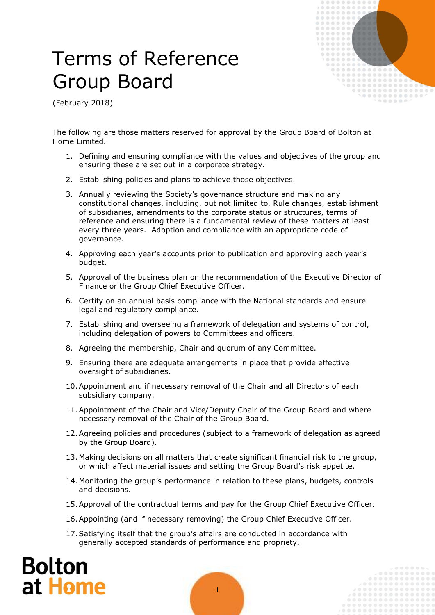## Terms of Reference Group Board



(February 2018)

The following are those matters reserved for approval by the Group Board of Bolton at Home Limited.

- 1. Defining and ensuring compliance with the values and objectives of the group and ensuring these are set out in a corporate strategy.
- 2. Establishing policies and plans to achieve those objectives.
- 3. Annually reviewing the Society's governance structure and making any constitutional changes, including, but not limited to, Rule changes, establishment of subsidiaries, amendments to the corporate status or structures, terms of reference and ensuring there is a fundamental review of these matters at least every three years. Adoption and compliance with an appropriate code of governance.
- 4. Approving each year's accounts prior to publication and approving each year's budget.
- 5. Approval of the business plan on the recommendation of the Executive Director of Finance or the Group Chief Executive Officer.
- 6. Certify on an annual basis compliance with the National standards and ensure legal and regulatory compliance.
- 7. Establishing and overseeing a framework of delegation and systems of control, including delegation of powers to Committees and officers.
- 8. Agreeing the membership, Chair and quorum of any Committee.
- 9. Ensuring there are adequate arrangements in place that provide effective oversight of subsidiaries.
- 10.Appointment and if necessary removal of the Chair and all Directors of each subsidiary company.
- 11.Appointment of the Chair and Vice/Deputy Chair of the Group Board and where necessary removal of the Chair of the Group Board.
- 12.Agreeing policies and procedures (subject to a framework of delegation as agreed by the Group Board).
- 13. Making decisions on all matters that create significant financial risk to the group, or which affect material issues and setting the Group Board's risk appetite.
- 14. Monitoring the group's performance in relation to these plans, budgets, controls and decisions.
- 15.Approval of the contractual terms and pay for the Group Chief Executive Officer.
- 16.Appointing (and if necessary removing) the Group Chief Executive Officer.
- 17.Satisfying itself that the group's affairs are conducted in accordance with generally accepted standards of performance and propriety.

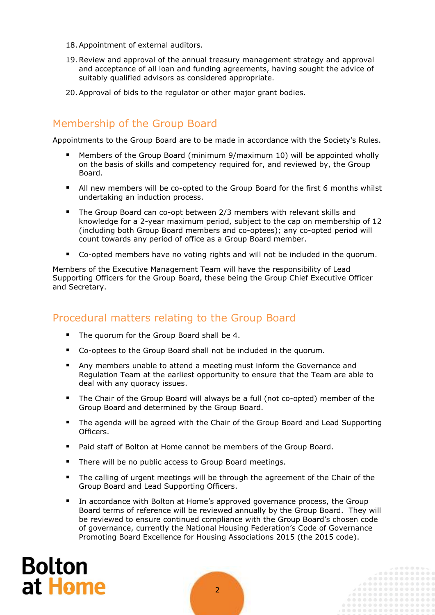- 18.Appointment of external auditors.
- 19.Review and approval of the annual treasury management strategy and approval and acceptance of all loan and funding agreements, having sought the advice of suitably qualified advisors as considered appropriate.
- 20.Approval of bids to the regulator or other major grant bodies.

### Membership of the Group Board

Appointments to the Group Board are to be made in accordance with the Society's Rules.

- Members of the Group Board (minimum 9/maximum 10) will be appointed wholly on the basis of skills and competency required for, and reviewed by, the Group Board.
- All new members will be co-opted to the Group Board for the first 6 months whilst undertaking an induction process.
- The Group Board can co-opt between 2/3 members with relevant skills and knowledge for a 2-year maximum period, subject to the cap on membership of 12 (including both Group Board members and co-optees); any co-opted period will count towards any period of office as a Group Board member.
- Co-opted members have no voting rights and will not be included in the quorum.

Members of the Executive Management Team will have the responsibility of Lead Supporting Officers for the Group Board, these being the Group Chief Executive Officer and Secretary.

#### Procedural matters relating to the Group Board

- The quorum for the Group Board shall be 4.
- Co-optees to the Group Board shall not be included in the quorum.
- Any members unable to attend a meeting must inform the Governance and Regulation Team at the earliest opportunity to ensure that the Team are able to deal with any quoracy issues.
- The Chair of the Group Board will always be a full (not co-opted) member of the Group Board and determined by the Group Board.
- The agenda will be agreed with the Chair of the Group Board and Lead Supporting Officers.
- **Paid staff of Bolton at Home cannot be members of the Group Board.**
- There will be no public access to Group Board meetings.
- The calling of urgent meetings will be through the agreement of the Chair of the Group Board and Lead Supporting Officers.
- In accordance with Bolton at Home's approved governance process, the Group Board terms of reference will be reviewed annually by the Group Board. They will be reviewed to ensure continued compliance with the Group Board's chosen code of governance, currently the National Housing Federation's Code of Governance Promoting Board Excellence for Housing Associations 2015 (the 2015 code).

### **Bolton** at Home